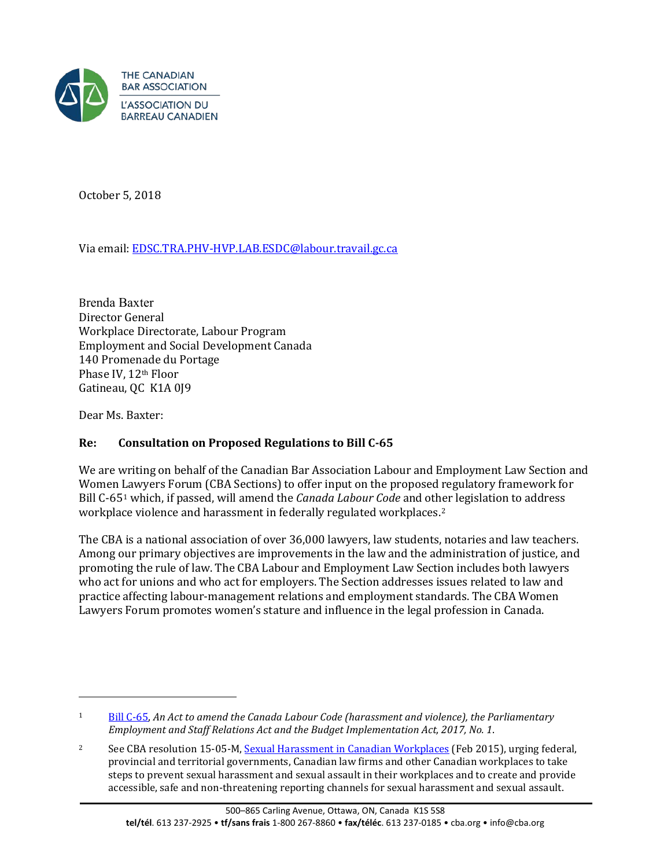

October 5, 2018

Via email[: EDSC.TRA.PHV-HVP.LAB.ESDC@labour.travail.gc.ca](mailto:EDSC.TRA.PHV-HVP.LAB.ESDC@labour.travail.gc.ca)

Brenda Baxter Director General Workplace Directorate, Labour Program Employment and Social Development Canada 140 Promenade du Portage Phase IV, 12th Floor Gatineau, QC K1A 0J9

Dear Ms. Baxter:

 $\overline{a}$ 

# **Re: Consultation on Proposed Regulations to Bill C-65**

We are writing on behalf of the Canadian Bar Association Labour and Employment Law Section and Women [La](#page-0-0)wyers Forum (CBA Sections) to offer input on the proposed regulatory framework for Bill C-651 which, if passed, will amend the *Canada Labour Code* and ot[he](#page-0-1)r legislation to address workplace violence and harassment in federally regulated workplaces.<sup>2</sup>

The CBA is a national association of over 36,000 lawyers, law students, notaries and law teachers. Among our primary objectives are improvements in the law and the administration of justice, and promoting the rule of law. The CBA Labour and Employment Law Section includes both lawyers who act for unions and who act for employers. The Section addresses issues related to law and practice affecting labour-management relations and employment standards. The CBA Women Lawyers Forum promotes women's stature and influence in the legal profession in Canada.

<span id="page-0-0"></span><sup>1</sup> [Bill C-65,](http://www.parl.ca/DocumentViewer/en/42-1/bill/C-65/third-reading) *An Act to amend the Canada Labour Code (harassment and violence), the Parliamentary Employment and Staff Relations Act and the Budget Implementation Act, 2017, No. 1*.

<span id="page-0-1"></span><sup>2</sup> See CBA resolution 15-05-M, [Sexual Harassment in Canadian Workplaces](https://www.cba.org/getattachment/Our-Work/Resolutions/Resolutions/2015/Sexual-Harassment-in-Canadian-Workplaces/15-05-M-ct.pdf) (Feb 2015), urging federal, provincial and territorial governments, Canadian law firms and other Canadian workplaces to take steps to prevent sexual harassment and sexual assault in their workplaces and to create and provide accessible, safe and non-threatening reporting channels for sexual harassment and sexual assault.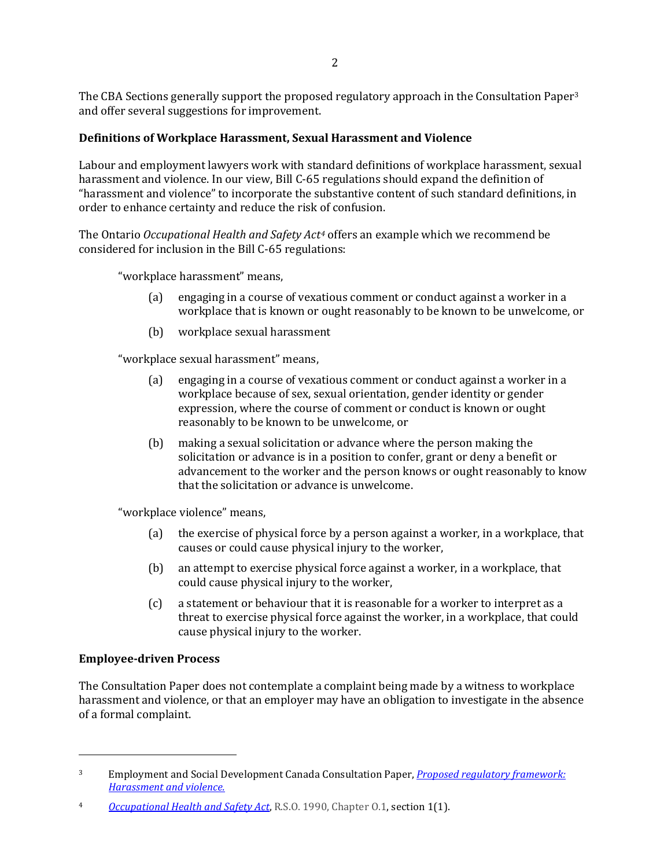The CBA Sections generally support the proposed regulatory approach in the Consultation Paper[3](#page-1-0) and offer several suggestions for improvement.

## **Definitions of Workplace Harassment, Sexual Harassment and Violence**

Labour and employment lawyers work with standard definitions of workplace harassment, sexual harassment and violence. In our view, Bill C-65 regulations should expand the definition of "harassment and violence" to incorporate the substantive content of such standard definitions, in order to enhance certainty and reduce the risk of confusion.

The Ontario *Occupational Health and Safety Act[4](#page-1-1)* offers an example which we recommend be considered for inclusion in the Bill C-65 regulations:

"workplace harassment" means,

- (a) engaging in a course of vexatious comment or conduct against a worker in a workplace that is known or ought reasonably to be known to be unwelcome, or
- (b) workplace sexual harassment

"workplace sexual harassment" means,

- (a) engaging in a course of vexatious comment or conduct against a worker in a workplace because of sex, sexual orientation, gender identity or gender expression, where the course of comment or conduct is known or ought reasonably to be known to be unwelcome, or
- (b) making a sexual solicitation or advance where the person making the solicitation or advance is in a position to confer, grant or deny a benefit or advancement to the worker and the person knows or ought reasonably to know that the solicitation or advance is unwelcome.

"workplace violence" means,

- (a) the exercise of physical force by a person against a worker, in a workplace, that causes or could cause physical injury to the worker,
- (b) an attempt to exercise physical force against a worker, in a workplace, that could cause physical injury to the worker,
- (c) a statement or behaviour that it is reasonable for a worker to interpret as a threat to exercise physical force against the worker, in a workplace, that could cause physical injury to the worker.

#### **Employee-driven Process**

 $\overline{a}$ 

The Consultation Paper does not contemplate a complaint being made by a witness to workplace harassment and violence, or that an employer may have an obligation to investigate in the absence of a formal complaint.

<span id="page-1-0"></span><sup>3</sup> Employment and Social Development Canada Consultation Paper, *Proposed regulatory [framework:](https://www.canada.ca/content/dam/esdc-edsc/documents/programs/workplace-health-safety/Proposed_Regulatory_Framework-en.pdf) [Harassmen](https://www.canada.ca/content/dam/esdc-edsc/documents/programs/workplace-health-safety/Proposed_Regulatory_Framework-en.pdf)t and violence.*

<span id="page-1-1"></span><sup>4</sup> *[Occupational](https://www.canlii.org/en/on/laws/stat/rso-1990-c-o1/latest/rso-1990-c-o1.html) Health and Safety Act*, R.S.O. 1990, Chapter O.1, section 1(1).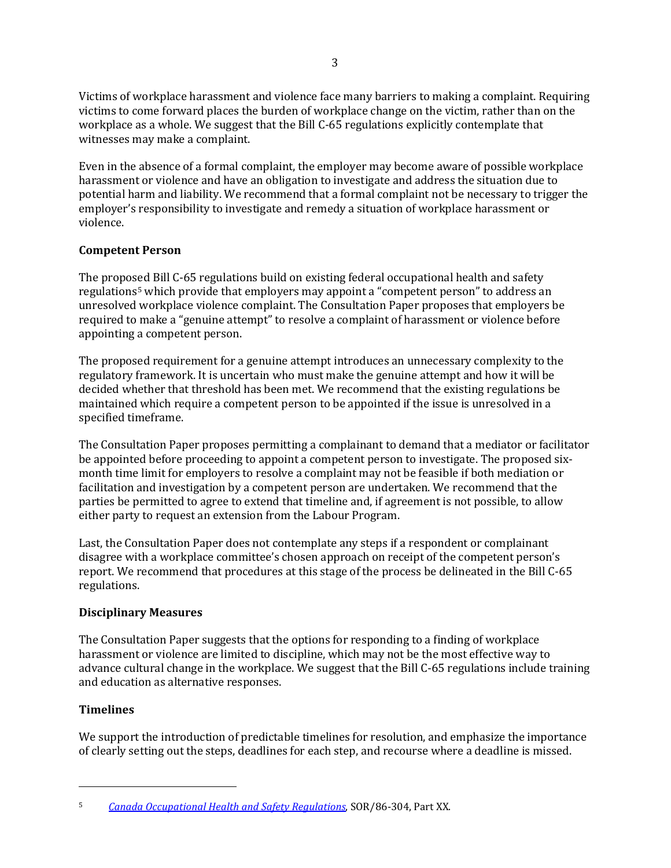Victims of workplace harassment and violence face many barriers to making a complaint. Requiring victims to come forward places the burden of workplace change on the victim, rather than on the workplace as a whole. We suggest that the Bill C-65 regulations explicitly contemplate that witnesses may make a complaint.

Even in the absence of a formal complaint, the employer may become aware of possible workplace harassment or violence and have an obligation to investigate and address the situation due to potential harm and liability. We recommend that a formal complaint not be necessary to trigger the employer's responsibility to investigate and remedy a situation of workplace harassment or violence.

## **Competent Person**

The propos[e](#page-2-0)d Bill C-65 regulations build on existing federal occupational health and safety regulations<sup>5</sup> which provide that employers may appoint a "competent person" to address an unresolved workplace violence complaint. The Consultation Paper proposes that employers be required to make a "genuine attempt" to resolve a complaint of harassment or violence before appointing a competent person.

The proposed requirement for a genuine attempt introduces an unnecessary complexity to the regulatory framework. It is uncertain who must make the genuine attempt and how it will be decided whether that threshold has been met. We recommend that the existing regulations be maintained which require a competent person to be appointed if the issue is unresolved in a specified timeframe.

The Consultation Paper proposes permitting a complainant to demand that a mediator or facilitator be appointed before proceeding to appoint a competent person to investigate. The proposed sixmonth time limit for employers to resolve a complaint may not be feasible if both mediation or facilitation and investigation by a competent person are undertaken. We recommend that the parties be permitted to agree to extend that timeline and, if agreement is not possible, to allow either party to request an extension from the Labour Program.

Last, the Consultation Paper does not contemplate any steps if a respondent or complainant disagree with a workplace committee's chosen approach on receipt of the competent person's report. We recommend that procedures at this stage of the process be delineated in the Bill C-65 regulations.

### **Disciplinary Measures**

The Consultation Paper suggests that the options for responding to a finding of workplace harassment or violence are limited to discipline, which may not be the most effective way to advance cultural change in the workplace. We suggest that the Bill C-65 regulations include training and education as alternative responses.

### **Timelines**

 $\overline{a}$ 

We support the introduction of predictable timelines for resolution, and emphasize the importance of clearly setting out the steps, deadlines for each step, and recourse where a deadline is missed.

<span id="page-2-0"></span><sup>5</sup> *Canada [Occupational](https://www.canlii.org/en/ca/laws/regu/sor-86-304/latest/sor-86-304.html?autocompleteStr=Canada%20Occupational%20Health%20and%20Safety%20Regulations%20&autocompletePos=1) Health and Safety Regulations*, SOR/86-304, Part XX.